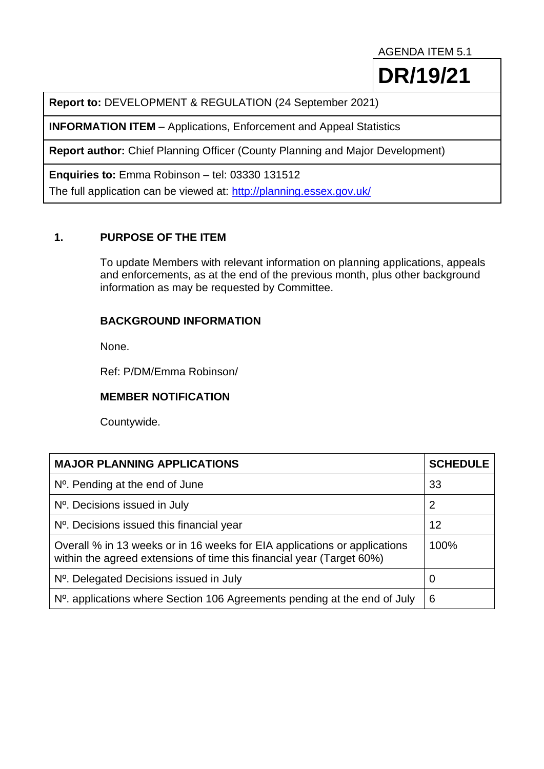AGENDA ITEM 5.1

**DR/19/21**

**Report to:** DEVELOPMENT & REGULATION (24 September 2021)

**INFORMATION ITEM** – Applications, Enforcement and Appeal Statistics

**Report author:** Chief Planning Officer (County Planning and Major Development)

**Enquiries to:** Emma Robinson – tel: 03330 131512

The full application can be viewed at:<http://planning.essex.gov.uk/>

## **1. PURPOSE OF THE ITEM**

To update Members with relevant information on planning applications, appeals and enforcements, as at the end of the previous month, plus other background information as may be requested by Committee.

## **BACKGROUND INFORMATION**

None.

Ref: P/DM/Emma Robinson/

## **MEMBER NOTIFICATION**

Countywide.

| <b>MAJOR PLANNING APPLICATIONS</b>                                                                                                                 | <b>SCHEDULE</b> |
|----------------------------------------------------------------------------------------------------------------------------------------------------|-----------------|
| $No$ . Pending at the end of June                                                                                                                  | 33              |
| Nº. Decisions issued in July                                                                                                                       | $\overline{2}$  |
| $No$ . Decisions issued this financial year                                                                                                        | 12              |
| Overall % in 13 weeks or in 16 weeks for EIA applications or applications<br>within the agreed extensions of time this financial year (Target 60%) | 100%            |
| N <sup>o</sup> . Delegated Decisions issued in July                                                                                                | 0               |
| N <sup>o</sup> . applications where Section 106 Agreements pending at the end of July                                                              | 6               |